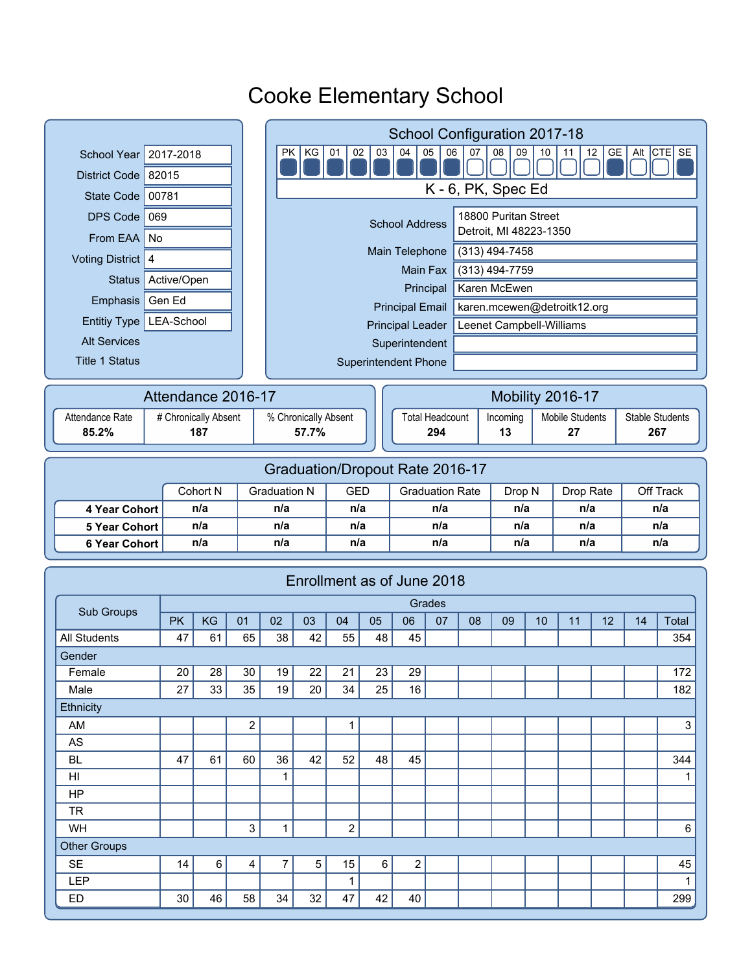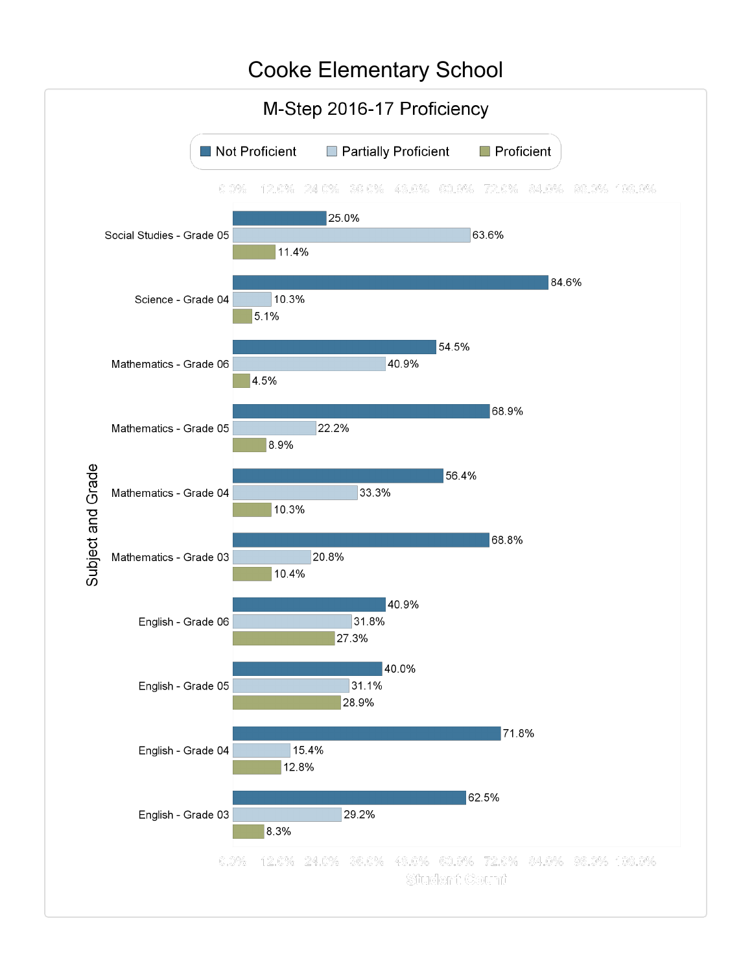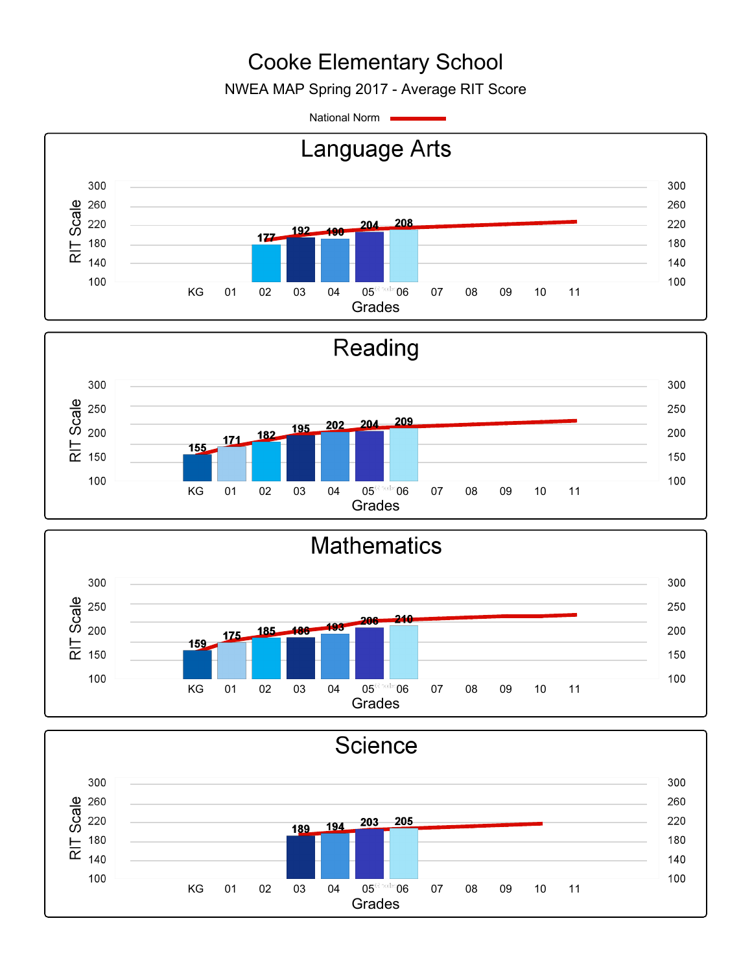NWEA MAP Spring 2017 - Average RIT Score

National Norm